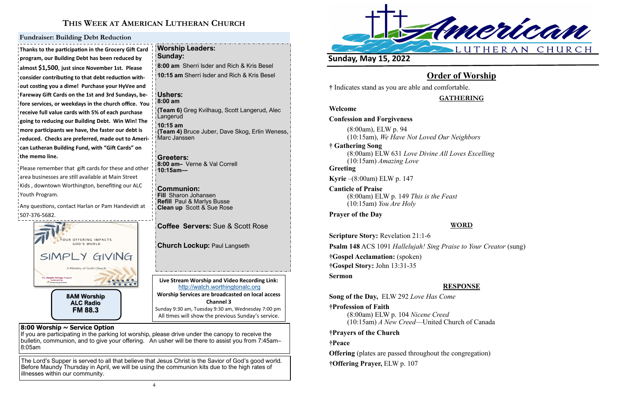



# **THIS WEEK AT AMERICAN LUTHERAN CHURCH**

**Live Stream Worship and Video Recording Link:**  <http://watch.worthingtonalc.org> **Worship Services are broadcasted on local access Channel 3** Sunday 9:30 am, Tuesday 9:30 am, Wednesday 7:00 pm All times will show the previous Sunday's service.

**8:00 Worship ~ Service Option**

If you are participating in the parking lot worship, please drive under the canopy to receive the bulletin, communion, and to give your offering. An usher will be there to assist you from 7:45am– 8:05am

The Lord's Supper is served to all that believe that Jesus Christ is the Savior of God's good world. Before Maundy Thursday in April, we will be using the communion kits due to the high rates of illnesses within our community.

**Thanks to the participation in the Grocery Gift Card program, our Building Debt has been reduced by almost \$1,500**, **just since November 1st. Please consider contributing to that debt reduction without costing you a dime! Purchase your HyVee and Fareway Gift Cards on the 1st and 3rd Sundays, before services, or weekdays in the church office. You receive full value cards with 5% of each purchase going to reducing our Building Debt. Win Win! The more participants we have, the faster our debt is reduced. Checks are preferred, made out to American Lutheran Building Fund, with "Gift Cards" on the memo line.**

Please remember that gift cards for these and other area businesses are still available at Main Street Kids , downtown Worthington, benefiting our ALC Youth Program.

Any questions, contact Harlan or Pam Handevidt at 507-376-5682.

#### **Fundraiser: Building Debt Reduction**

**Worship Leaders:** 

**Sunday:** 

**8:00 am** Sherri Isder and Rich & Kris Besel **10:15 am** Sherri Isder and Rich & Kris Besel

**Ushers: 8:00 am**

**(Team 6)** Greg Kvilhaug, Scott Langerud, Alec

Langerud **10:15 am** 

**(Team 4)** Bruce Juber, Dave Skog, Erlin Weness,

Marc Janssen

**Greeters:**

**8:00 am–** Verne & Val Correll

**10:15am—** 

**Communion: Fill** Sharon Johansen **Refill** Paul & Marlys Busse **Clean up** Scott & Sue Rose

**Coffee Servers:** Sue & Scott Rose

**Church Lockup: Paul Langseth** 

**Sunday, May 15, 2022** 

**Order of Worship**

**†** Indicates stand as you are able and comfortable.

**GATHERING**

**Welcome**

**Confession and Forgiveness**

(8:00am), ELW p. 94 (10:15am), *We Have Not Loved Our Neighbors*

**† Gathering Song**  (8:00am) ELW 631 *Love Divine All Loves Excelling* (10:15am) *Amazing Love* **Greeting**

**Kyrie** –(8:00am) ELW p. 147

**Canticle of Praise** (8:00am) ELW p. 149 *This is the Feast* (10:15am) *You Are Holy*

### **Prayer of the Day**

## **WORD**

**Scripture Story:** Revelation 21:1-6 **Psalm 148** ACS 1091 *Hallelujah! Sing Praise to Your Creator* (sung) **†Gospel Acclamation:** (spoken) **†Gospel Story:** John 13:31-35 **Sermon**

### **RESPONSE**

**Song of the Day,** ELW 292 *Love Has Come*

**†Profession of Faith** 

(8:00am) ELW p. 104 *Nicene Creed* (10:15am) *A New Creed*—United Church of Canada

#### **†Prayers of the Church**

#### **†Peace**

**Offering** (plates are passed throughout the congregation) **†Offering Prayer,** ELW p. 107